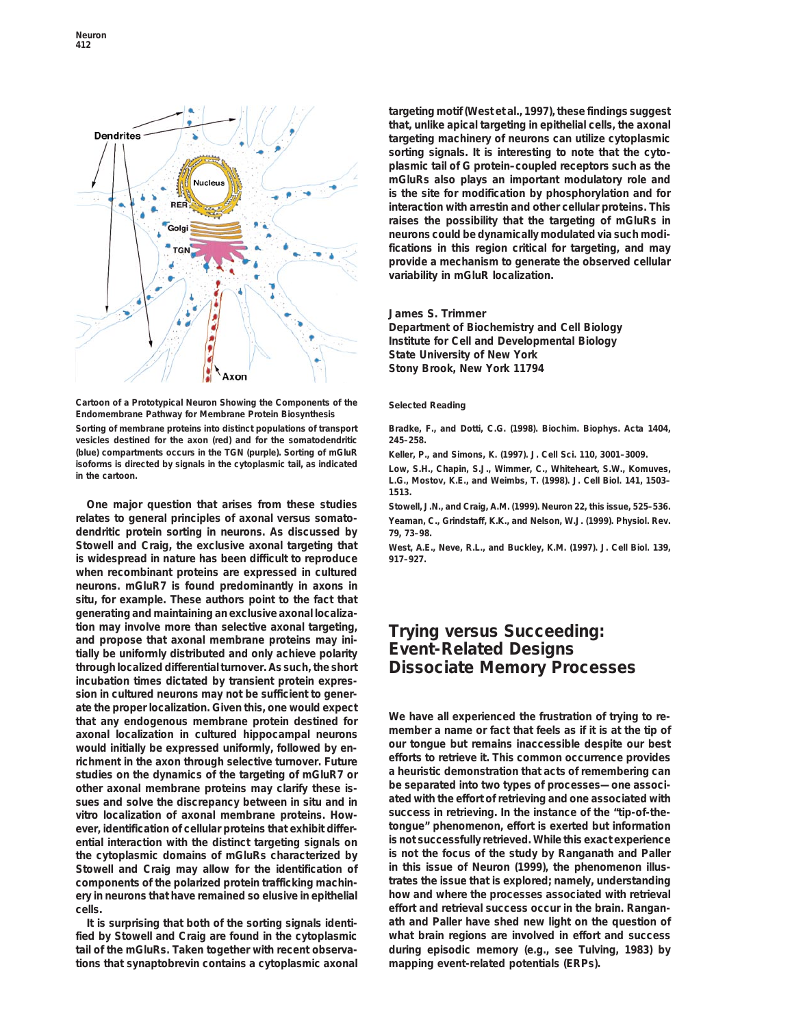

Cartoon of a Prototypical Neuron Showing the Components of the **Selected Reading Endomembrane Pathway for Membrane Protein Biosynthesis**

**Sorting of membrane proteins into distinct populations of transport Bradke, F., and Dotti, C.G. (1998). Biochim. Biophys. Acta** *1404***, vesicles destined for the axon (red) and for the somatodendritic 245–258. (blue) compartments occurs in the TGN (purple). Sorting of mGluR Keller, P., and Simons, K. (1997). J. Cell Sci.** *110***, 3001–3009.**

**One major question that arises from these studies Stowell, J.N., and Craig, A.M. (1999). Neuron** *22***, this issue, 525–536. relates to general principles of axonal versus somato- Yeaman, C., Grindstaff, K.K., and Nelson, W.J. (1999). Physiol. Rev. dendritic protein sorting in neurons. As discussed by** *79***, 73–98. Stowell and Craig, the exclusive axonal targeting that West, A.E., Neve, R.L., and Buckley, K.M. (1997). J. Cell Biol.** *139***, is widespread in nature has been difficult to reproduce 917–927. when recombinant proteins are expressed in cultured neurons. mGluR7 is found predominantly in axons in situ, for example. These authors point to the fact that generating and maintaining an exclusive axonal localiza**tion may involve more than selective axonal targeting,<br>
and propose that axonal membrane proteins may ini-<br> **EVENT-Related Designs**<br> **EVENT-Related Designs tially be uniformly distributed and only achieve polarity through localized differential turnover. As such, the short Dissociate Memory Processes incubation times dictated by transient protein expression in cultured neurons may not be sufficient to gener**ate the proper localization. Given this, one would expect<br>that any endogenous membrane protein destined for<br>axonal localization in cultured hippocampal neurons<br>would initially be expressed uniformly followed by en-<br>our ton **would initially be expressed uniformly, followed by en- our tongue but remains inaccessible despite our best** richment in the axon through selective turnover. Future<br>studies on the dynamics of the targeting of mGluR7 or<br>other axonal membrane proteins may clarify these is-<br>the separated into two types of processes—one associ-<br>other **sues and solve the discrepancy between in situ and in ated with the** *effort* **of retrieving and one associated with vitro localization of axonal membrane proteins. How-** *success* **in retrieving. In the instance of the "tip-of-theever, identification of cellular proteins that exhibit differ- tongue" phenomenon, effort is exerted but information** ential interaction with the distinct targeting signals on the cytoplasmic domains of mGluRs characterized by is not the focus of the study by Ranganath and Paller<br>Stowell and Craig may allow for the identification of in this issue of *Neuron* (1999), the phenomenon illus-Stowell and Craig may allow for the identification of **components of the polarized protein trafficking machin- trates the issue that is explored; namely, understanding ery in neurons that have remained so elusive in epithelial how and where the processes associated with retrieval cells. effort and retrieval success occur in the brain. Rangan-**

**tions that synaptobrevin contains a cytoplasmic axonal mapping event-related potentials (ERPs).**

**targeting motif (West et al., 1997), these findings suggest that, unlike apical targeting in epithelial cells, the axonal targeting machinery of neurons can utilize cytoplasmic sorting signals. It is interesting to note that the cytoplasmic tail of G protein–coupled receptors such as the mGluRs also plays an important modulatory role and is the site for modification by phosphorylation and for interaction with arrestin and other cellular proteins. This raises the possibility that the targeting of mGluRs in neurons could be dynamically modulated via such modifications in this region critical for targeting, and may provide a mechanism to generate the observed cellular variability in mGluR localization.**

# **James S. Trimmer**

**Department of Biochemistry and Cell Biology Institute for Cell and Developmental Biology State University of New York Stony Brook, New York 11794**

Isolorms is directed by signals in the cytopiasmic tail, as indicated<br>In the cartoon. L.G., Mostov, K.E., and Weimbs, T. (1998). J. Cell Biol. 141, 1503– **1513.**

**It is surprising that both of the sorting signals identi- ath and Paller have shed new light on the question of fied by Stowell and Craig are found in the cytoplasmic what brain regions are involved in effort and success tail of the mGluRs. Taken together with recent observa- during episodic memory (e.g., see Tulving, 1983) by**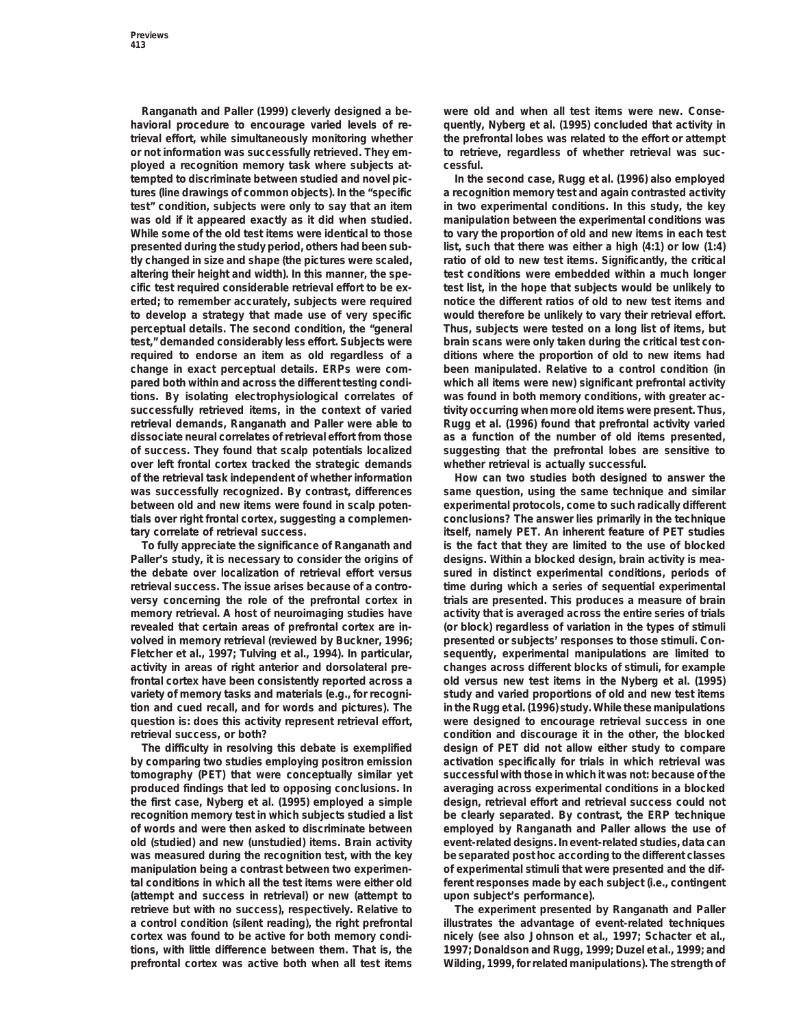**havioral procedure to encourage varied levels of re- quently, Nyberg et al. (1995) concluded that activity in trieval effort, while simultaneously monitoring whether the prefrontal lobes was related to the effort or attempt or not information was successfully retrieved. They em- to retrieve, regardless of whether retrieval was sucployed a recognition memory task where subjects at- cessful. tempted to discriminate between studied and novel pic- In the second case, Rugg et al. (1996) also employed tures (line drawings of common objects). In the "specific a recognition memory test and again contrasted activity test" condition, subjects were only to say that an item in two experimental conditions. In this study, the key was old if it appeared exactly as it did when studied. manipulation between the experimental conditions was While some of the old test items were identical to those to vary the proportion of old and new items in each test presented during the study period, others had been sub- list, such that there was either a high (4:1) or low (1:4) tly changed in size and shape (the pictures were scaled, ratio of old to new test items. Significantly, the critical altering their height and width). In this manner, the spe- test conditions were** *embedded* **within a much longer cific test required considerable retrieval effort to be ex- test list, in the hope that subjects would be unlikely to erted; to remember accurately, subjects were required notice the different ratios of old to new test items and to develop a strategy that made use of very specific would therefore be unlikely to vary their retrieval effort. perceptual details. The second condition, the "general Thus, subjects were tested on a long list of items, but test," demanded considerably less effort. Subjects were brain scans were only taken during the critical test conrequired to endorse an item as old regardless of a ditions where the proportion of old to new items had change in exact perceptual details. ERPs were com- been manipulated. Relative to a control condition (in pared both within and across the different testing condi- which all items were new) significant prefrontal activity tions. By isolating electrophysiological correlates of was found in both memory conditions, with greater acsuccessfully retrieved items, in the context of varied tivity occurring when more old items were present. Thus, retrieval demands, Ranganath and Paller were able to Rugg et al. (1996) found that prefrontal activity varied dissociate neural correlates of retrieval effort from those as a function of the number of old items presented, of success. They found that scalp potentials localized suggesting that the prefrontal lobes are sensitive to over left frontal cortex tracked the strategic demands whether retrieval is actually successful. of the retrieval task independent of whether information How can two studies both designed to answer the** was successfully recognized. By contrast, differences same question, using the same technique and similar **between old and new items were found in scalp poten- experimental protocols, come to such radically different tials over right frontal cortex, suggesting a complemen- conclusions? The answer lies primarily in the technique**

**by comparing two studies employing positron emission activation specifically for trials in which retrieval was tomography (PET) that were conceptually similar yet successful with those in which it was not: because of the produced findings that led to opposing conclusions. In averaging across experimental conditions in a blocked the first case, Nyberg et al. (1995) employed a simple design, retrieval effort and retrieval success could not recognition memory test in which subjects studied a list be clearly separated. By contrast, the ERP technique of words and were then asked to discriminate between employed by Ranganath and Paller allows the use of old (studied) and new (unstudied) items. Brain activity event-related designs. In event-related studies, data can was measured during the recognition test, with the key be separated post hoc according to the different classes manipulation being a contrast between two experimen- of experimental stimuli that were presented** *and* **the diftal conditions in which all the test items were either old ferent responses made by each subject (i.e., contingent (attempt and success in retrieval) or new (attempt to upon subject's performance). retrieve but with no success), respectively. Relative to The experiment presented by Ranganath and Paller a control condition (silent reading), the right prefrontal illustrates the advantage of event-related techniques cortex was found to be active for both memory condi- nicely (see also Johnson et al., 1997; Schacter et al., tions, with little difference between them. That is, the 1997; Donaldson and Rugg, 1999; Duzel et al., 1999; and**

**Ranganath and Paller (1999) cleverly designed a be- were old and when all test items were new. Conse-**

**tary correlate of retrieval success. itself, namely PET. An inherent feature of PET studies To fully appreciate the significance of Ranganath and is the fact that they are limited to the use of blocked Paller's study, it is necessary to consider the origins of designs. Within a blocked design, brain activity is meathe debate over localization of retrieval effort versus sured in distinct experimental conditions, periods of retrieval success. The issue arises because of a contro- time during which a series of sequential experimental versy concerning the role of the prefrontal cortex in trials are presented. This produces a measure of brain memory retrieval. A host of neuroimaging studies have activity that is averaged across the entire series of trials revealed that certain areas of prefrontal cortex are in- (or block) regardless of variation in the types of stimuli volved in memory retrieval (reviewed by Buckner, 1996; presented or subjects' responses to those stimuli. Con-Fletcher et al., 1997; Tulving et al., 1994). In particular, sequently, experimental manipulations are limited to activity in areas of right anterior and dorsolateral pre- changes across different blocks of stimuli, for example frontal cortex have been consistently reported across a old versus new test items in the Nyberg et al. (1995) variety of memory tasks and materials (e.g., for recogni- study and varied proportions of old and new test items tion and cued recall, and for words and pictures). The in the Rugg et al. (1996) study. While these manipulations question is: does this activity represent retrieval effort, were designed to encourage retrieval success in one retrieval success, or both? condition and discourage it in the other, the blocked The difficulty in resolving this debate is exemplified design of PET did not allow either study to compare**

**prefrontal cortex was active both when all test items Wilding, 1999, for related manipulations). The strength of**